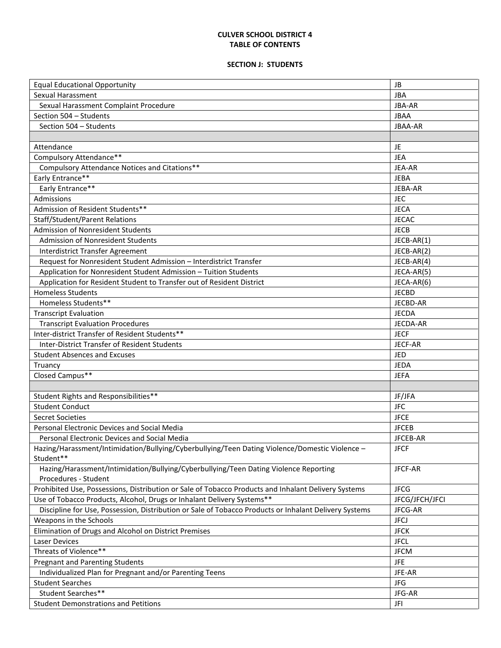## **CULVER SCHOOL DISTRICT 4 TABLE OF CONTENTS**

## **SECTION J: STUDENTS**

| <b>Equal Educational Opportunity</b>                                                                         | <b>JB</b>      |
|--------------------------------------------------------------------------------------------------------------|----------------|
| Sexual Harassment                                                                                            | <b>JBA</b>     |
| Sexual Harassment Complaint Procedure                                                                        | <b>JBA-AR</b>  |
| Section 504 - Students                                                                                       | <b>JBAA</b>    |
| Section 504 - Students                                                                                       | JBAA-AR        |
|                                                                                                              |                |
| Attendance                                                                                                   | JE.            |
| Compulsory Attendance**                                                                                      | <b>JEA</b>     |
| Compulsory Attendance Notices and Citations**                                                                | JEA-AR         |
| Early Entrance**                                                                                             | <b>JEBA</b>    |
| Early Entrance**                                                                                             | JEBA-AR        |
| Admissions                                                                                                   | <b>JEC</b>     |
| Admission of Resident Students**                                                                             | <b>JECA</b>    |
| <b>Staff/Student/Parent Relations</b>                                                                        | <b>JECAC</b>   |
| Admission of Nonresident Students                                                                            | <b>JECB</b>    |
| Admission of Nonresident Students                                                                            | JECB-AR(1)     |
| Interdistrict Transfer Agreement                                                                             | JECB-AR(2)     |
| Request for Nonresident Student Admission - Interdistrict Transfer                                           | JECB-AR(4)     |
| Application for Nonresident Student Admission - Tuition Students                                             | JECA-AR(5)     |
| Application for Resident Student to Transfer out of Resident District                                        | JECA-AR(6)     |
| <b>Homeless Students</b>                                                                                     | <b>JECBD</b>   |
| Homeless Students**                                                                                          | JECBD-AR       |
|                                                                                                              |                |
| <b>Transcript Evaluation</b>                                                                                 | <b>JECDA</b>   |
| <b>Transcript Evaluation Procedures</b>                                                                      | JECDA-AR       |
| Inter-district Transfer of Resident Students**                                                               | <b>JECF</b>    |
| <b>Inter-District Transfer of Resident Students</b>                                                          | JECF-AR        |
| <b>Student Absences and Excuses</b>                                                                          | JED            |
| Truancy                                                                                                      | <b>JEDA</b>    |
| Closed Campus**                                                                                              | <b>JEFA</b>    |
|                                                                                                              |                |
| Student Rights and Responsibilities**                                                                        | JF/JFA         |
| <b>Student Conduct</b>                                                                                       | <b>JFC</b>     |
| Secret Societies                                                                                             | <b>JFCE</b>    |
| Personal Electronic Devices and Social Media                                                                 | <b>JFCEB</b>   |
| Personal Electronic Devices and Social Media                                                                 | JFCEB-AR       |
| Hazing/Harassment/Intimidation/Bullying/Cyberbullying/Teen Dating Violence/Domestic Violence –<br>Student**  | <b>JFCF</b>    |
| Hazing/Harassment/Intimidation/Bullying/Cyberbullying/Teen Dating Violence Reporting<br>Procedures - Student | JFCF-AR        |
| Prohibited Use, Possessions, Distribution or Sale of Tobacco Products and Inhalant Delivery Systems          | <b>JFCG</b>    |
| Use of Tobacco Products, Alcohol, Drugs or Inhalant Delivery Systems**                                       | JFCG/JFCH/JFCI |
| Discipline for Use, Possession, Distribution or Sale of Tobacco Products or Inhalant Delivery Systems        | JFCG-AR        |
| Weapons in the Schools                                                                                       | <b>JFCJ</b>    |
| Elimination of Drugs and Alcohol on District Premises                                                        | <b>JFCK</b>    |
| Laser Devices                                                                                                | <b>JFCL</b>    |
| Threats of Violence**                                                                                        | <b>JFCM</b>    |
| <b>Pregnant and Parenting Students</b>                                                                       | <b>JFE</b>     |
| Individualized Plan for Pregnant and/or Parenting Teens                                                      | JFE-AR         |
| <b>Student Searches</b>                                                                                      | JFG            |
| Student Searches**                                                                                           | JFG-AR         |
| <b>Student Demonstrations and Petitions</b>                                                                  | JFI            |